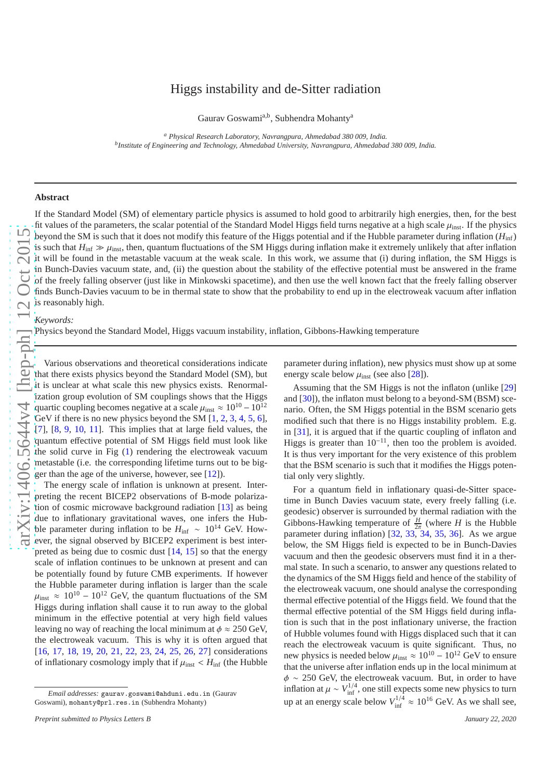## Higgs instability and de-Sitter radiation

Gaurav Goswami<sup>a,b</sup>, Subhendra Mohanty<sup>a</sup>

*<sup>a</sup> Physical Research Laboratory, Navrangpura, Ahmedabad 380 009, India. b Institute of Engineering and Technology, Ahmedabad University, Navrangpura, Ahmedabad 380 009, India.*

## **Abstract**

If the Standard Model (SM) of elementary particle physics is assumed to hold good to arbitrarily high energies, then, for the best fit values of the parameters, the scalar potential of the Standard Model Higgs field turns negative at a high scale  $\mu_{inst}$ . If the physics beyond the SM is such that it does not modify this feature of the Higgs potential and if the Hubble parameter during inflation ( $H_{\text{inf}}$ ) is such that  $H_{\text{inf}} \gg \mu_{\text{inst}}$ , then, quantum fluctuations of the SM Higgs during inflation make it extremely unlikely that after inflation it will be found in the metastable vacuum at the weak scale. In this work, we assume that (i) during inflation, the SM Higgs is in Bunch-Davies vacuum state, and, (ii) the question about the stability of the e ffective potential must be answered in the frame of the freely falling observer (just like in Minkowski spacetime), and then use the well known fact that the freely falling observer finds Bunch-Davies vacuum to be in thermal state to show that the probability to end up in the electroweak vacuum after inflation is reasonably high.

## *Keywords:*

Physics beyond the Standard Model, Higgs vacuum instability, inflation, Gibbons-Hawking temperature

Various observations and theoretical considerations indicate that there exists physics beyond the Standard Model (SM), bu t it is unclear at what scale this new physics exists. Renormalization group evolution of SM couplings shows that the Higgs quartic coupling becomes negative at a scale  $\mu_{inst} \approx 10^{10} - 10^{12}$ GeV if there is no new physics beyond the SM  $[1, 2, 3, 4, 5, 6]$  $[1, 2, 3, 4, 5, 6]$  $[1, 2, 3, 4, 5, 6]$  $[1, 2, 3, 4, 5, 6]$  $[1, 2, 3, 4, 5, 6]$  $[1, 2, 3, 4, 5, 6]$  $[1, 2, 3, 4, 5, 6]$  $[1, 2, 3, 4, 5, 6]$  $[1, 2, 3, 4, 5, 6]$  $[1, 2, 3, 4, 5, 6]$  $[1, 2, 3, 4, 5, 6]$  $[1, 2, 3, 4, 5, 6]$ , [[7\]](#page-5-6), [[8](#page-5-7), [9](#page-5-8), [10](#page-5-9), [11](#page-5-10)]. This implies that at large field values, the quantum e ffective potential of SM Higgs field must look like the solid curve in Fig ( [1\)](#page-1-0) rendering the electroweak vacuum metastable (i.e. the corresponding lifetime turns out to be bigger than the age of the universe, however, see [\[12](#page-5-11)]).

The energy scale of inflation is unknown at present. Interpreting the recent BICEP2 observations of B-mode polarization of cosmic microwave background radiation [\[13\]](#page-5-12) as being due to inflationary gravitational waves, one infers the Hubble parameter during inflation to be  $H_{\text{inf}} \sim 10^{14}$  GeV. However, the signal observed by BICEP2 experiment is best interpreted as being due to cosmic dust [\[14,](#page-5-13) [15](#page-5-14)] so that the energy scale of inflation continues to be unknown at present and can be potentially found by future CMB experiments. If however the Hubble parameter during inflation is larger than the scal e  $\mu_{\text{inst}} \approx 10^{10} - 10^{12}$  GeV, the quantum fluctuations of the SM Higgs during inflation shall cause it to run away to the global minimum in the e ffective potential at very high field values leaving no way of reaching the local minimum at  $\phi \approx 250$  GeV, the electroweak vacuum. This is why it is often argued that [\[16,](#page-5-15) [17,](#page-5-16) [18,](#page-5-17) [19](#page-5-18), [20](#page-5-19), [21,](#page-5-20) [22,](#page-5-21) [23,](#page-5-22) [24](#page-5-23), [25,](#page-5-24) [26,](#page-5-25) [27\]](#page-5-26) considerations of inflationary cosmology imply that if  $\mu_{\text{inst}} < H_{\text{inf}}$  (the Hubble

parameter during inflation), new physics must show up at some energy scale below  $\mu_{inst}$  (see also [\[28\]](#page-5-27)).

Assuming that the SM Higgs is not the inflaton (unlike [\[29](#page-5-28) ] and [\[30\]](#page-5-29)), the inflaton must belong to a beyond-SM (BSM) scenario. Often, the SM Higgs potential in the BSM scenario gets modified such that there is no Higgs instability problem. E.g . in [\[31\]](#page-5-30), it is argued that if the quartic coupling of inflaton and Higgs is greater than  $10^{-11}$ , then too the problem is avoided. It is thus very important for the very existence of this problem that the BSM scenario is such that it modifies the Higgs potential only very slightly.

For a quantum field in inflationary quasi-de-Sitter spacetime in Bunch Davies vacuum state, every freely falling (i.e. geodesic) observer is surrounded by thermal radiation with the Gibbons-Hawking temperature of  $\frac{H}{2\pi}$  (where *H* is the Hubble parameter during inflation) [\[32](#page-5-31), [33](#page-5-32), [34](#page-5-33), [35](#page-5-34), [36](#page-5-35)]. As we argue below, the SM Higgs field is expected to be in Bunch-Davies vacuum and then the geodesic observers must find it in a thermal state. In such a scenario, to answer any questions related to the dynamics of the SM Higgs field and hence of the stability of the electroweak vacuum, one should analyse the corresponding thermal e ffective potential of the Higgs field. We found that the thermal e ffective potential of the SM Higgs field during inflation is such that in the post inflationary universe, the fraction of Hubble volumes found with Higgs displaced such that it can reach the electroweak vacuum is quite significant. Thus, no new physics is needed below  $\mu_{inst} \approx 10^{10} - 10^{12}$  GeV to ensure that the universe after inflation ends up in the local minimum at  $\phi \sim 250$  GeV, the electroweak vacuum. But, in order to have inflation at  $\mu \sim V_{\text{inf}}^{1/4}$ , one still expects some new physics to turn up at an energy scale below  $V_{\text{inf}}^{1/4}$  $\frac{d^{1/4}}{dt^{1/4}} \approx 10^{16}$  GeV. As we shall see,

*Email addresses:* gaurav.goswami@ahduni.edu.in (Gaurav Goswami), mohanty@prl.res.in (Subhendra Mohanty)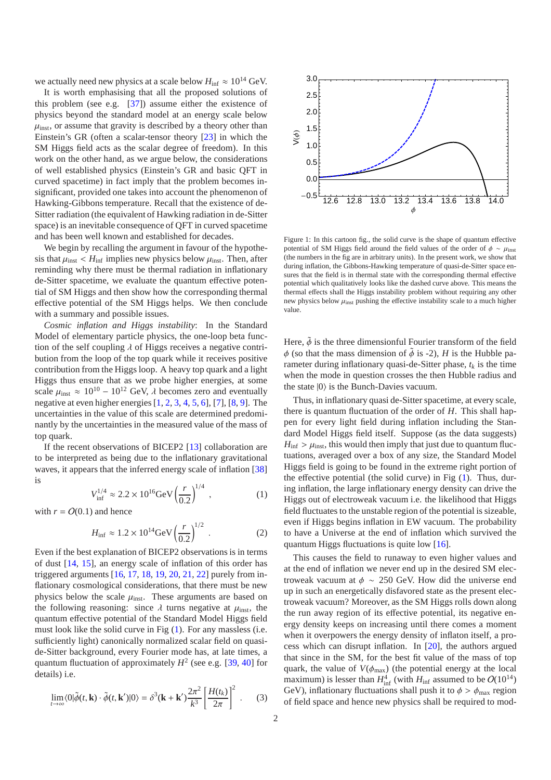we actually need new physics at a scale below  $H_{\text{inf}} \approx 10^{14} \text{ GeV}$ .

It is worth emphasising that all the proposed solutions of this problem (see e.g. [\[37\]](#page-5-36)) assume either the existence of physics beyond the standard model at an energy scale below  $\mu_{\text{inst}}$ , or assume that gravity is described by a theory other than Einstein's GR (often a scalar-tensor theory [\[23](#page-5-22)] in which the SM Higgs field acts as the scalar degree of freedom). In this work on the other hand, as we argue below, the considerations of well established physics (Einstein's GR and basic QFT in curved spacetime) in fact imply that the problem becomes insignificant, provided one takes into account the phenomenon of Hawking-Gibbons temperature. Recall that the existence of de-Sitter radiation (the equivalent of Hawking radiation in de-Sitter space) is an inevitable consequence of QFT in curved spacetime and has been well known and established for decades.

We begin by recalling the argument in favour of the hypothesis that  $\mu_{\text{inst}} < H_{\text{inf}}$  implies new physics below  $\mu_{\text{inst}}$ . Then, after reminding why there must be thermal radiation in inflationary de-Sitter spacetime, we evaluate the quantum effective potential of SM Higgs and then show how the corresponding thermal effective potential of the SM Higgs helps. We then conclude with a summary and possible issues.

*Cosmic inflation and Higgs instability*: In the Standard Model of elementary particle physics, the one-loop beta function of the self coupling  $\lambda$  of Higgs receives a negative contribution from the loop of the top quark while it receives positive contribution from the Higgs loop. A heavy top quark and a light Higgs thus ensure that as we probe higher energies, at some scale  $\mu_{\text{inst}} \approx 10^{10} - 10^{12}$  GeV,  $\lambda$  becomes zero and eventually negative at even higher energies [\[1,](#page-5-0) [2,](#page-5-1) [3](#page-5-2), [4,](#page-5-3) [5,](#page-5-4) [6](#page-5-5)], [\[7\]](#page-5-6), [\[8,](#page-5-7) [9](#page-5-8)]. The uncertainties in the value of this scale are determined predominantly by the uncertainties in the measured value of the mass of top quark.

If the recent observations of BICEP2 [\[13\]](#page-5-12) collaboration are to be interpreted as being due to the inflationary gravitational waves, it appears that the inferred energy scale of inflation [\[38](#page-5-37)] is

$$
V_{\text{inf}}^{1/4} \approx 2.2 \times 10^{16} \text{GeV} \left(\frac{r}{0.2}\right)^{1/4} , \qquad (1)
$$

with  $r = O(0.1)$  and hence

$$
H_{\rm inf} \approx 1.2 \times 10^{14} \text{GeV} \left(\frac{r}{0.2}\right)^{1/2} \,. \tag{2}
$$

Even if the best explanation of BICEP2 observations is in terms of dust [\[14,](#page-5-13) [15](#page-5-14)], an energy scale of inflation of this order has triggered arguments  $[16, 17, 18, 19, 20, 21, 22]$  $[16, 17, 18, 19, 20, 21, 22]$  $[16, 17, 18, 19, 20, 21, 22]$  $[16, 17, 18, 19, 20, 21, 22]$  $[16, 17, 18, 19, 20, 21, 22]$  $[16, 17, 18, 19, 20, 21, 22]$  $[16, 17, 18, 19, 20, 21, 22]$  $[16, 17, 18, 19, 20, 21, 22]$  $[16, 17, 18, 19, 20, 21, 22]$  $[16, 17, 18, 19, 20, 21, 22]$  $[16, 17, 18, 19, 20, 21, 22]$  $[16, 17, 18, 19, 20, 21, 22]$  $[16, 17, 18, 19, 20, 21, 22]$  purely from inflationary cosmological considerations, that there must be new physics below the scale  $\mu_{inst.}$  These arguments are based on the following reasoning: since  $\lambda$  turns negative at  $\mu_{inst}$ , the quantum effective potential of the Standard Model Higgs field must look like the solid curve in Fig [\(1\)](#page-1-0). For any massless (i.e. sufficiently light) canonically normalized scalar field on quaside-Sitter background, every Fourier mode has, at late times, a quantum fluctuation of approximately  $H^2$  (see e.g. [\[39,](#page-5-38) [40](#page-6-0)] for details) i.e.

$$
\lim_{t \to \infty} \langle 0 | \tilde{\phi}(t, \mathbf{k}) \cdot \tilde{\phi}(t, \mathbf{k}') | 0 \rangle = \delta^3(\mathbf{k} + \mathbf{k}') \frac{2\pi^2}{k^3} \left[ \frac{H(t_k)}{2\pi} \right]^2 \ . \tag{3}
$$



<span id="page-1-0"></span>Figure 1: In this cartoon fig., the solid curve is the shape of quantum effective potential of SM Higgs field around the field values of the order of  $\phi \sim \mu_{\text{inst}}$ (the numbers in the fig are in arbitrary units). In the present work, we show that during inflation, the Gibbons-Hawking temperature of quasi-de-Sitter space ensures that the field is in thermal state with the corresponding thermal effective potential which qualitatively looks like the dashed curve above. This means the thermal effects shall the Higgs instability problem without requiring any other new physics below  $\mu_{\text{inst}}$  pushing the effective instability scale to a much higher value.

Here,  $\tilde{\phi}$  is the three dimensionful Fourier transform of the field  $\phi$  (so that the mass dimension of  $\tilde{\phi}$  is -2), *H* is the Hubble parameter during inflationary quasi-de-Sitter phase,  $t_k$  is the time when the mode in question crosses the then Hubble radius and the state  $|0\rangle$  is the Bunch-Davies vacuum.

Thus, in inflationary quasi de-Sitter spacetime, at every scale, there is quantum fluctuation of the order of *H*. This shall happen for every light field during inflation including the Standard Model Higgs field itself. Suppose (as the data suggests)  $H_{\text{inf}} > \mu_{\text{inst}}$ , this would then imply that just due to quantum fluctuations, averaged over a box of any size, the Standard Model Higgs field is going to be found in the extreme right portion of the effective potential (the solid curve) in Fig [\(1\)](#page-1-0). Thus, during inflation, the large inflationary energy density can drive the Higgs out of electroweak vacuum i.e. the likelihood that Higgs field fluctuates to the unstable region of the potential is sizeable, even if Higgs begins inflation in EW vacuum. The probability to have a Universe at the end of inflation which survived the quantum Higgs fluctuations is quite low [\[16](#page-5-15)].

This causes the field to runaway to even higher values and at the end of inflation we never end up in the desired SM electroweak vacuum at  $\phi \sim 250$  GeV. How did the universe end up in such an energetically disfavored state as the present electroweak vacuum? Moreover, as the SM Higgs rolls down along the run away region of its effective potential, its negative energy density keeps on increasing until there comes a moment when it overpowers the energy density of inflaton itself, a process which can disrupt inflation. In [\[20\]](#page-5-19), the authors argued that since in the SM, for the best fit value of the mass of top quark, the value of  $V(\phi_{\text{max}})$  (the potential energy at the local maximum) is lesser than  $H_{\text{inf}}^4$  (with  $H_{\text{inf}}$  assumed to be  $O(10^{14})$ GeV), inflationary fluctuations shall push it to  $\phi > \phi_{\text{max}}$  region of field space and hence new physics shall be required to mod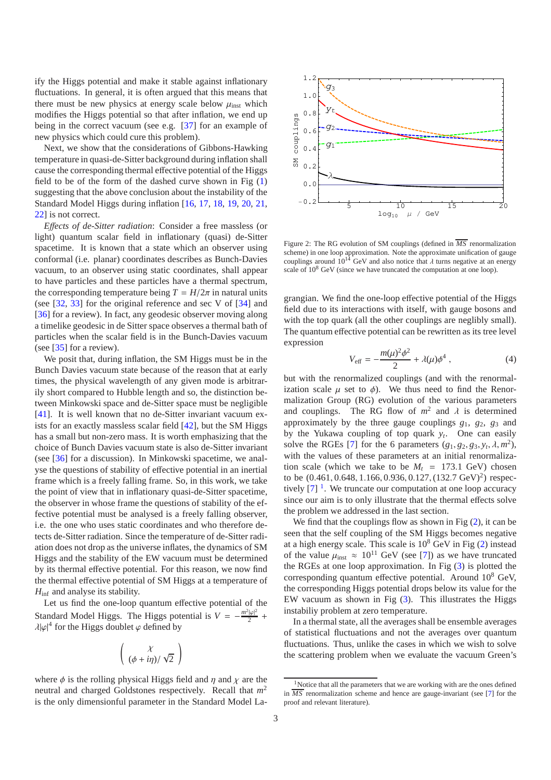ify the Higgs potential and make it stable against inflationary fluctuations. In general, it is often argued that this means that there must be new physics at energy scale below  $\mu_{inst}$  which modifies the Higgs potential so that after inflation, we end up being in the correct vacuum (see e.g. [\[37\]](#page-5-36) for an example of new physics which could cure this problem).

Next, we show that the considerations of Gibbons-Hawking temperature in quasi-de-Sitter background during inflation shall cause the corresponding thermal effective potential of the Higgs field to be of the form of the dashed curve shown in Fig  $(1)$ suggesting that the above conclusion about the instability of the Standard Model Higgs during inflation [\[16,](#page-5-15) [17](#page-5-16), [18](#page-5-17), [19,](#page-5-18) [20,](#page-5-19) [21](#page-5-20), [22\]](#page-5-21) is not correct.

*E*ff*ects of de-Sitter radiation*: Consider a free massless (or light) quantum scalar field in inflationary (quasi) de-Sitter spacetime. It is known that a state which an observer using conformal (i.e. planar) coordinates describes as Bunch-Davies vacuum, to an observer using static coordinates, shall appear to have particles and these particles have a thermal spectrum, the corresponding temperature being  $T = H/2\pi$  in natural units (see [\[32](#page-5-31), [33](#page-5-32)] for the original reference and sec V of [\[34\]](#page-5-33) and [\[36\]](#page-5-35) for a review). In fact, any geodesic observer moving along a timelike geodesic in de Sitter space observes a thermal bath of particles when the scalar field is in the Bunch-Davies vacuum (see [\[35\]](#page-5-34) for a review).

We posit that, during inflation, the SM Higgs must be in the Bunch Davies vacuum state because of the reason that at early times, the physical wavelength of any given mode is arbitrarily short compared to Hubble length and so, the distinction between Minkowski space and de-Sitter space must be negligible [\[41\]](#page-6-1). It is well known that no de-Sitter invariant vacuum exists for an exactly massless scalar field [\[42\]](#page-6-2), but the SM Higgs has a small but non-zero mass. It is worth emphasizing that the choice of Bunch Davies vacuum state is also de-Sitter invariant (see [\[36\]](#page-5-35) for a discussion). In Minkowski spacetime, we analyse the questions of stability of effective potential in an inertial frame which is a freely falling frame. So, in this work, we take the point of view that in inflationary quasi-de-Sitter spacetime, the observer in whose frame the questions of stability of the effective potential must be analysed is a freely falling observer, i.e. the one who uses static coordinates and who therefore detects de-Sitter radiation. Since the temperature of de-Sitter radiation does not drop as the universe inflates, the dynamics of SM Higgs and the stability of the EW vacuum must be determined by its thermal effective potential. For this reason, we now find the thermal effective potential of SM Higgs at a temperature of  $H_{\text{inf}}$  and analyse its stability.

Let us find the one-loop quantum effective potential of the Standard Model Higgs. The Higgs potential is  $V = -\frac{m^2|\varphi|^2}{2}$  $\frac{|\varphi|^2}{2}$  +  $\lambda |\varphi|^4$  for the Higgs doublet  $\varphi$  defined by

$$
\left(\begin{array}{c}\chi\\(\phi+i\eta)/\sqrt{2}\end{array}\right)
$$

where  $\phi$  is the rolling physical Higgs field and  $\eta$  and  $\chi$  are the neutral and charged Goldstones respectively. Recall that *m* 2 is the only dimensionful parameter in the Standard Model La-



<span id="page-2-1"></span>Figure 2: The RG evolution of SM couplings (defined in *MS* renormalization scheme) in one loop approximation. Note the approximate unification of gauge couplings around  $10^{14}$  GeV and also notice that  $\lambda$  turns negative at an energy scale of  $10^8$  GeV (since we have truncated the computation at one loop).

grangian. We find the one-loop effective potential of the Higgs field due to its interactions with itself, with gauge bosons and with the top quark (all the other couplings are neglibly small). The quantum effective potential can be rewritten as its tree level expression

$$
V_{\text{eff}} = -\frac{m(\mu)^2 \phi^2}{2} + \lambda(\mu) \phi^4 , \qquad (4)
$$

but with the renormalized couplings (and with the renormalization scale  $\mu$  set to  $\phi$ ). We thus need to find the Renormalization Group (RG) evolution of the various parameters and couplings. The RG flow of  $m^2$  and  $\lambda$  is determined approximately by the three gauge couplings  $g_1$ ,  $g_2$ ,  $g_3$  and by the Yukawa coupling of top quark *y<sup>t</sup>* . One can easily solve the RGEs [\[7\]](#page-5-6) for the 6 parameters  $(g_1, g_2, g_3, y_t, \lambda, m^2)$ , with the values of these parameters at an initial renormalization scale (which we take to be  $M_t = 173.1$  GeV) chosen to be  $(0.461, 0.648, 1.166, 0.936, 0.127, (132.7 \text{ GeV})^2)$  respectively  $[7]$ <sup>[1](#page-2-0)</sup>. We truncate our computation at one loop accuracy since our aim is to only illustrate that the thermal effects solve the problem we addressed in the last section.

We find that the couplings flow as shown in Fig  $(2)$ , it can be seen that the self coupling of the SM Higgs becomes negative at a high energy scale. This scale is  $10^8$  GeV in Fig [\(2\)](#page-2-1) instead of the value  $\mu_{\text{inst}} \approx 10^{11}$  GeV (see [\[7\]](#page-5-6)) as we have truncated the RGEs at one loop approximation. In Fig  $(3)$  is plotted the corresponding quantum effective potential. Around 10<sup>8</sup> GeV, the corresponding Higgs potential drops below its value for the EW vacuum as shown in Fig [\(3\)](#page-3-0). This illustrates the Higgs instabiliy problem at zero temperature.

In a thermal state, all the averages shall be ensemble averages of statistical fluctuations and not the averages over quantum fluctuations. Thus, unlike the cases in which we wish to solve the scattering problem when we evaluate the vacuum Green's

<span id="page-2-0"></span><sup>&</sup>lt;sup>1</sup>Notice that all the parameters that we are working with are the ones defined in *MS* renormalization scheme and hence are gauge-invariant (see [\[7](#page-5-6)] for the proof and relevant literature).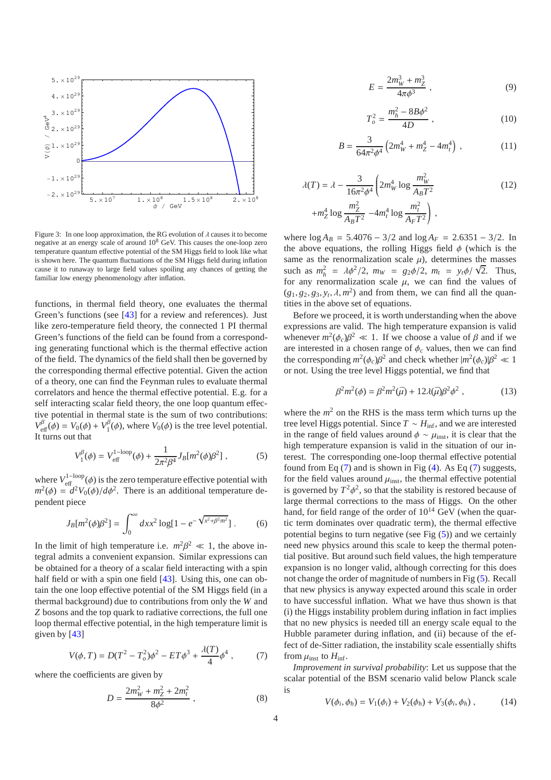

<span id="page-3-0"></span>Figure 3: In one loop approximation, the RG evolution of  $\lambda$  causes it to become negative at an energy scale of around  $10^8$  GeV. This causes the one-loop zero temperature quantum effective potential of the SM Higgs field to look like what is shown here. The quantum fluctuations of the SM Higgs field during inflation cause it to runaway to large field values spoiling any chances of getting the familiar low energy phenomenology after inflation.

functions, in thermal field theory, one evaluates the thermal Green's functions (see [\[43\]](#page-6-3) for a review and references). Just like zero-temperature field theory, the connected 1 PI thermal Green's functions of the field can be found from a corresponding generating functional which is the thermal effective action of the field. The dynamics of the field shall then be governed by the corresponding thermal effective potential. Given the action of a theory, one can find the Feynman rules to evaluate thermal correlators and hence the thermal effective potential. E.g. for a self interacting scalar field theory, the one loop quantum effective potential in thermal state is the sum of two contributions:  $V_{\text{eff}}^{\beta}(\phi) = V_0(\phi) + V_1^{\beta}$  $I_1^p(\phi)$ , where  $V_0(\phi)$  is the tree level potential. It turns out that

$$
V_1^{\beta}(\phi) = V_{\text{eff}}^{1-\text{loop}}(\phi) + \frac{1}{2\pi^2 \beta^4} J_B[m^2(\phi)\beta^2], \qquad (5)
$$

where  $V_{\text{eff}}^{1-\text{loop}}(\phi)$  is the zero temperature effective potential with  $m^2(\phi) = d^2V_0(\phi)/d\phi^2$ . There is an additional temperature dependent piece

$$
J_B[m^2(\phi)\beta^2] = \int_0^\infty dx x^2 \log[1 - e^{-\sqrt{x^2 + \beta^2 m^2}}].
$$
 (6)

In the limit of high temperature i.e.  $m^2\beta^2 \ll 1$ , the above integral admits a convenient expansion. Similar expressions can be obtained for a theory of a scalar field interacting with a spin half field or with a spin one field [\[43\]](#page-6-3). Using this, one can obtain the one loop effective potential of the SM Higgs field (in a thermal background) due to contributions from only the *W* and *Z* bosons and the top quark to radiative corrections, the full one loop thermal effective potential, in the high temperature limit is given by [\[43\]](#page-6-3)

<span id="page-3-1"></span>
$$
V(\phi, T) = D(T^2 - T_o^2)\phi^2 - ET\phi^3 + \frac{\lambda(T)}{4}\phi^4 ,\qquad (7)
$$

where the coefficients are given by

$$
D = \frac{2m_W^2 + m_Z^2 + 2m_t^2}{8\phi^2} \,, \tag{8}
$$

$$
E = \frac{2m_W^3 + m_Z^3}{4\pi\phi^3} \,,\tag{9}
$$

$$
T_o^2 = \frac{m_h^2 - 8B\phi^2}{4D} , \qquad (10)
$$

$$
B = \frac{3}{64\pi^2 \phi^4} \left( 2m_W^4 + m_Z^4 - 4m_t^4 \right) , \qquad (11)
$$

$$
\lambda(T) = \lambda - \frac{3}{16\pi^2 \phi^4} \left( 2m_W^4 \log \frac{m_W^2}{A_B T^2} + m_Z^4 \log \frac{m_Z^2}{A_B T^2} - 4m_t^4 \log \frac{m_t^2}{A_F T^2} \right),
$$
\n(12)

where  $\log A_B = 5.4076 - 3/2$  and  $\log A_F = 2.6351 - 3/2$ . In the above equations, the rolling Higgs field  $\phi$  (which is the same as the renormalization scale  $\mu$ ), determines the masses such as  $m_h^2 = \lambda \phi^2 / 2$ ,  $m_W = g_2 \phi / 2$ ,  $m_t = y_t \phi / \sqrt{2}$ . Thus, for any renormalization scale  $\mu$ , we can find the values of  $(g_1, g_2, g_3, y_t, \lambda, m^2)$  and from them, we can find all the quantities in the above set of equations.

Before we proceed, it is worth understanding when the above expressions are valid. The high temperature expansion is valid whenever  $m^2(\phi_c)\beta^2 \ll 1$ . If we choose a value of  $\beta$  and if we are interested in a chosen range of  $\phi_c$  values, then we can find the corresponding  $m^2(\phi_c)\beta^2$  and check whether  $|m^2(\phi_c)|\beta^2 \ll 1$ or not. Using the tree level Higgs potential, we find that

$$
\beta^2 m^2(\phi) = \beta^2 m^2(\bar{\mu}) + 12\lambda(\bar{\mu})\beta^2 \phi^2 , \qquad (13)
$$

where the  $m<sup>2</sup>$  on the RHS is the mass term which turns up the tree level Higgs potential. Since  $T \sim H_{\text{inf}}$ , and we are interested in the range of field values around  $\phi \sim \mu_{inst}$ , it is clear that the high temperature expansion is valid in the situation of our interest. The corresponding one-loop thermal effective potential found from Eq  $(7)$  and is shown in Fig  $(4)$ . As Eq  $(7)$  suggests, for the field values around  $\mu_{inst}$ , the thermal effective potential is governed by  $T^2\phi^2$ , so that the stability is restored because of large thermal corrections to the mass of Higgs. On the other hand, for field range of the order of  $10^{14}$  GeV (when the quartic term dominates over quadratic term), the thermal effective potential begins to turn negative (see Fig  $(5)$ ) and we certainly need new physics around this scale to keep the thermal potential positive. But around such field values, the high temperature expansion is no longer valid, although correcting for this does not change the order of magnitude of numbers in Fig [\(5\)](#page-4-1). Recall that new physics is anyway expected around this scale in order to have successful inflation. What we have thus shown is that (i) the Higgs instability problem during inflation in fact implies that no new physics is needed till an energy scale equal to the Hubble parameter during inflation, and (ii) because of the effect of de-Sitter radiation, the instability scale essentially shifts from  $\mu_{\text{inst}}$  to  $H_{\text{inf}}$ .

*Improvement in survival probability*: Let us suppose that the scalar potential of the BSM scenario valid below Planck scale is

$$
V(\phi_i, \phi_h) = V_1(\phi_i) + V_2(\phi_h) + V_3(\phi_i, \phi_h), \qquad (14)
$$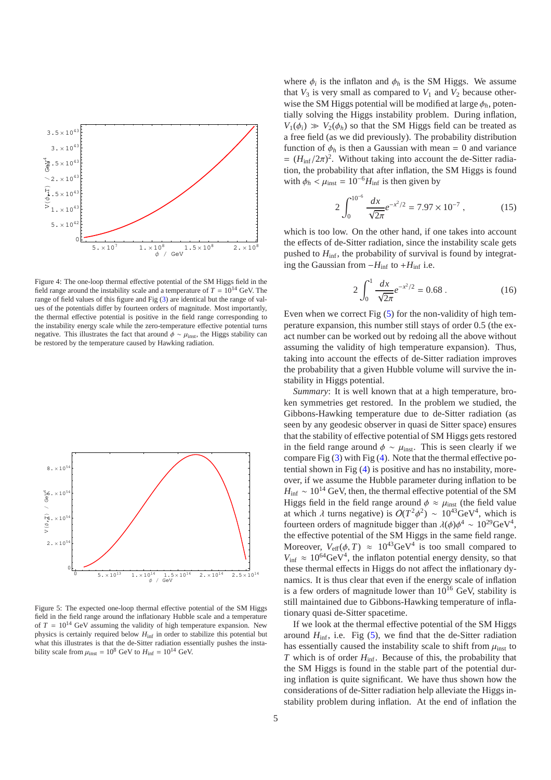

<span id="page-4-0"></span>Figure 4: The one-loop thermal effective potential of the SM Higgs field in the field range around the instability scale and a temperature of  $T = 10^{14}$  GeV. The range of field values of this figure and Fig [\(3\)](#page-3-0) are identical but the range of values of the potentials differ by fourteen orders of magnitude. Most importantly, the thermal effective potential is positive in the field range corresponding to the instability energy scale while the zero-temperature effective potential turns negative. This illustrates the fact that around  $\phi \sim \mu_{\rm inst}$ , the Higgs stability can be restored by the temperature caused by Hawking radiation.



<span id="page-4-1"></span>Figure 5: The expected one-loop thermal effective potential of the SM Higgs field in the field range around the inflationary Hubble scale and a temperature of  $T = 10^{14}$  GeV assuming the validity of high temperature expansion. New physics is certainly required below  $H_{\text{inf}}$  in order to stabilize this potential but what this illustrates is that the de-Sitter radiation essentially pushes the instability scale from  $\mu_{inst} = 10^8$  GeV to  $H_{inf} = 10^{14}$  GeV.

where  $\phi_i$  is the inflaton and  $\phi_h$  is the SM Higgs. We assume that  $V_3$  is very small as compared to  $V_1$  and  $V_2$  because otherwise the SM Higgs potential will be modified at large  $\phi_h$ , potentially solving the Higgs instability problem. During inflation,  $V_1(\phi_i) \gg V_2(\phi_h)$  so that the SM Higgs field can be treated as a free field (as we did previously). The probability distribution function of  $\phi_h$  is then a Gaussian with mean = 0 and variance  $= (H_{\text{inf}}/2\pi)^2$ . Without taking into account the de-Sitter radiation, the probability that after inflation, the SM Higgs is found with  $\phi_h < \mu_{inst} = 10^{-6} H_{inf}$  is then given by

$$
2\int_0^{10^{-6}} \frac{dx}{\sqrt{2\pi}} e^{-x^2/2} = 7.97 \times 10^{-7},\tag{15}
$$

which is too low. On the other hand, if one takes into account the effects of de-Sitter radiation, since the instability scale gets pushed to *H*inf, the probability of survival is found by integrating the Gaussian from <sup>−</sup>*H*inf to <sup>+</sup>*H*inf i.e.

$$
2\int_0^1 \frac{dx}{\sqrt{2\pi}} e^{-x^2/2} = 0.68 \,. \tag{16}
$$

Even when we correct Fig  $(5)$  for the non-validity of high temperature expansion, this number still stays of order 0.5 (the exact number can be worked out by redoing all the above without assuming the validity of high temperature expansion). Thus, taking into account the effects of de-Sitter radiation improves the probability that a given Hubble volume will survive the instability in Higgs potential.

*Summary*: It is well known that at a high temperature, broken symmetries get restored. In the problem we studied, the Gibbons-Hawking temperature due to de-Sitter radiation (as seen by any geodesic observer in quasi de Sitter space) ensures that the stability of effective potential of SM Higgs gets restored in the field range around  $\phi \sim \mu_{inst}$ . This is seen clearly if we compare Fig [\(3\)](#page-3-0) with Fig [\(4\)](#page-4-0). Note that the thermal effective potential shown in Fig [\(4\)](#page-4-0) is positive and has no instability, moreover, if we assume the Hubble parameter during inflation to be  $H_{\text{inf}} \sim 10^{14}$  GeV, then, the thermal effective potential of the SM Higgs field in the field range around  $\phi \approx \mu_{\text{inst}}$  (the field value at which  $\lambda$  turns negative) is  $O(T^2\phi^2) \sim 10^{43} \text{GeV}^4$ , which is fourteen orders of magnitude bigger than  $\lambda(\phi)\phi^4 \sim 10^{29} \text{GeV}^4$ , the effective potential of the SM Higgs in the same field range. Moreover,  $V_{\text{eff}}(\phi, T) \approx 10^{43} \text{GeV}^4$  is too small compared to  $V_{\text{inf}} \approx 10^{64} \text{GeV}^4$ , the inflaton potential energy density, so that these thermal effects in Higgs do not affect the inflationary dynamics. It is thus clear that even if the energy scale of inflation is a few orders of magnitude lower than  $10^{16}$  GeV, stability is still maintained due to Gibbons-Hawking temperature of inflationary quasi de-Sitter spacetime.

If we look at the thermal effective potential of the SM Higgs around  $H_{\text{inf}}$ , i.e. Fig  $(5)$ , we find that the de-Sitter radiation has essentially caused the instability scale to shift from  $\mu_{\text{inst}}$  to *T* which is of order  $H_{\text{inf}}$ . Because of this, the probability that the SM Higgs is found in the stable part of the potential during inflation is quite significant. We have thus shown how the considerations of de-Sitter radiation help alleviate the Higgs instability problem during inflation. At the end of inflation the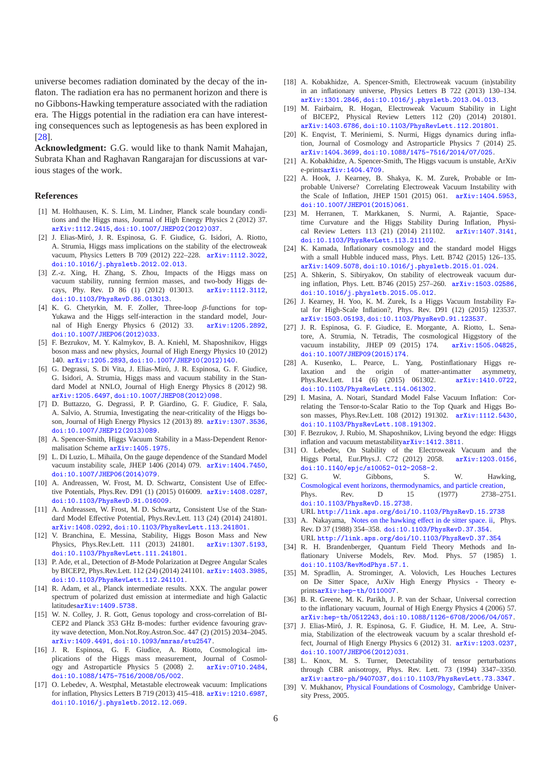universe becomes radiation dominated by the decay of the inflaton. The radiation era has no permanent horizon and there is no Gibbons-Hawking temperature associated with the radiation era. The Higgs potential in the radiation era can have interesting consequences such as leptogenesis as has been explored in [\[28\]](#page-5-27).

**Acknowledgment:** G.G. would like to thank Namit Mahajan, Subrata Khan and Raghavan Rangarajan for discussions at various stages of the work.

## **References**

- <span id="page-5-0"></span>[1] M. Holthausen, K. S. Lim, M. Lindner, Planck scale boundary conditions and the Higgs mass, Journal of High Energy Physics 2 (2012) 37. [arXiv:1112.2415](http://arxiv.org/abs/1112.2415), [doi:10.1007/JHEP02\(2012\)037](http://dx.doi.org/10.1007/JHEP02(2012)037).
- <span id="page-5-1"></span>[2] J. Elias-Mir´o, J. R. Espinosa, G. F. Giudice, G. Isidori, A. Riotto, A. Strumia, Higgs mass implications on the stability of the electroweak vacuum, Physics Letters B 709 (2012) 222–228. [arXiv:1112.3022](http://arxiv.org/abs/1112.3022), [doi:10.1016/j.physletb.2012.02.013](http://dx.doi.org/10.1016/j.physletb.2012.02.013).
- <span id="page-5-2"></span>[3] Z.-z. Xing, H. Zhang, S. Zhou, Impacts of the Higgs mass on vacuum stability, running fermion masses, and two-body Higgs decays, Phy. Rev. D 86 (1) (2012) 013013. [arXiv:1112.3112](http://arxiv.org/abs/1112.3112), [doi:10.1103/PhysRevD.86.013013](http://dx.doi.org/10.1103/PhysRevD.86.013013).
- <span id="page-5-3"></span>[4] K. G. Chetyrkin, M. F. Zoller, Three-loop β-functions for top-Yukawa and the Higgs self-interaction in the standard model, Journal of High Energy Physics 6 (2012) 33. [arXiv:1205.2892](http://arxiv.org/abs/1205.2892), [doi:10.1007/JHEP06\(2012\)033](http://dx.doi.org/10.1007/JHEP06(2012)033).
- <span id="page-5-4"></span>[5] F. Bezrukov, M. Y. Kalmykov, B. A. Kniehl, M. Shaposhnikov, Higgs boson mass and new physics, Journal of High Energy Physics 10 (2012) 140. [arXiv:1205.2893](http://arxiv.org/abs/1205.2893), [doi:10.1007/JHEP10\(2012\)140](http://dx.doi.org/10.1007/JHEP10(2012)140).
- <span id="page-5-5"></span>[6] G. Degrassi, S. Di Vita, J. Elias-Miró, J. R. Espinosa, G. F. Giudice, G. Isidori, A. Strumia, Higgs mass and vacuum stability in the Standard Model at NNLO, Journal of High Energy Physics 8 (2012) 98. [arXiv:1205.6497](http://arxiv.org/abs/1205.6497), [doi:10.1007/JHEP08\(2012\)098](http://dx.doi.org/10.1007/JHEP08(2012)098).
- <span id="page-5-6"></span>[7] D. Buttazzo, G. Degrassi, P. P. Giardino, G. F. Giudice, F. Sala, A. Salvio, A. Strumia, Investigating the near-criticality of the Higgs boson, Journal of High Energy Physics 12 (2013) 89. [arXiv:1307.3536](http://arxiv.org/abs/1307.3536), [doi:10.1007/JHEP12\(2013\)089](http://dx.doi.org/10.1007/JHEP12(2013)089).
- <span id="page-5-7"></span>[8] A. Spencer-Smith, Higgs Vacuum Stability in a Mass-Dependent Renormalisation Scheme [arXiv:1405.1975](http://arxiv.org/abs/1405.1975).
- <span id="page-5-8"></span>[9] L. Di Luzio, L. Mihaila, On the gauge dependence of the Standard Model vacuum instability scale, JHEP 1406 (2014) 079. [arXiv:1404.7450](http://arxiv.org/abs/1404.7450), [doi:10.1007/JHEP06\(2014\)079](http://dx.doi.org/10.1007/JHEP06(2014)079).
- <span id="page-5-9"></span>[10] A. Andreassen, W. Frost, M. D. Schwartz, Consistent Use of Effective Potentials, Phys.Rev. D91 (1) (2015) 016009. [arXiv:1408.0287](http://arxiv.org/abs/1408.0287), [doi:10.1103/PhysRevD.91.016009](http://dx.doi.org/10.1103/PhysRevD.91.016009).
- <span id="page-5-10"></span>[11] A. Andreassen, W. Frost, M. D. Schwartz, Consistent Use of the Standard Model Effective Potential, Phys.Rev.Lett. 113 (24) (2014) 241801. [arXiv:1408.0292](http://arxiv.org/abs/1408.0292), [doi:10.1103/PhysRevLett.113.241801](http://dx.doi.org/10.1103/PhysRevLett.113.241801).
- <span id="page-5-11"></span>[12] V. Branchina, E. Messina, Stability, Higgs Boson Mass and New Physics, Phys.Rev.Lett. 111 (2013) 241801. [arXiv:1307.5193](http://arxiv.org/abs/1307.5193), [doi:10.1103/PhysRevLett.111.241801](http://dx.doi.org/10.1103/PhysRevLett.111.241801).
- <span id="page-5-12"></span>[13] P. Ade, et al., Detection of *B*-Mode Polarization at Degree Angular Scales by BICEP2, Phys.Rev.Lett. 112 (24) (2014) 241101. [arXiv:1403.3985](http://arxiv.org/abs/1403.3985), [doi:10.1103/PhysRevLett.112.241101](http://dx.doi.org/10.1103/PhysRevLett.112.241101).
- <span id="page-5-13"></span>[14] R. Adam, et al., Planck intermediate results. XXX. The angular power spectrum of polarized dust emission at intermediate and high Galactic latitudes[arXiv:1409.5738](http://arxiv.org/abs/1409.5738).
- <span id="page-5-14"></span>[15] W. N. Colley, J. R. Gott, Genus topology and cross-correlation of BI-CEP2 and Planck 353 GHz B-modes: further evidence favouring gravity wave detection, Mon.Not.Roy.Astron.Soc. 447 (2) (2015) 2034–2045. [arXiv:1409.4491](http://arxiv.org/abs/1409.4491), [doi:10.1093/mnras/stu2547](http://dx.doi.org/10.1093/mnras/stu2547).
- <span id="page-5-15"></span>[16] J. R. Espinosa, G. F. Giudice, A. Riotto, Cosmological implications of the Higgs mass measurement, Journal of Cosmology and Astroparticle Physics 5 (2008) 2. [arXiv:0710.2484](http://arxiv.org/abs/0710.2484), [doi:10.1088/1475-7516/2008/05/002](http://dx.doi.org/10.1088/1475-7516/2008/05/002).
- <span id="page-5-16"></span>[17] O. Lebedev, A. Westphal, Metastable electroweak vacuum: Implications for inflation, Physics Letters B 719 (2013) 415–418. [arXiv:1210.6987](http://arxiv.org/abs/1210.6987), [doi:10.1016/j.physletb.2012.12.069](http://dx.doi.org/10.1016/j.physletb.2012.12.069).
- <span id="page-5-17"></span>[18] A. Kobakhidze, A. Spencer-Smith, Electroweak vacuum (in)stability in an inflationary universe, Physics Letters B 722 (2013) 130–134. [arXiv:1301.2846](http://arxiv.org/abs/1301.2846), [doi:10.1016/j.physletb.2013.04.013](http://dx.doi.org/10.1016/j.physletb.2013.04.013).
- <span id="page-5-18"></span>[19] M. Fairbairn, R. Hogan, Electroweak Vacuum Stability in Light of BICEP2, Physical Review Letters 112 (20) (2014) 201801. [arXiv:1403.6786](http://arxiv.org/abs/1403.6786), [doi:10.1103/PhysRevLett.112.201801](http://dx.doi.org/10.1103/PhysRevLett.112.201801).
- <span id="page-5-19"></span>[20] K. Enqvist, T. Meriniemi, S. Nurmi, Higgs dynamics during inflation, Journal of Cosmology and Astroparticle Physics 7 (2014) 25. [arXiv:1404.3699](http://arxiv.org/abs/1404.3699), [doi:10.1088/1475-7516/2014/07/025](http://dx.doi.org/10.1088/1475-7516/2014/07/025).
- <span id="page-5-20"></span>[21] A. Kobakhidze, A. Spencer-Smith, The Higgs vacuum is unstable, ArXiv e-prints[arXiv:1404.4709](http://arxiv.org/abs/1404.4709).
- <span id="page-5-21"></span>[22] A. Hook, J. Kearney, B. Shakya, K. M. Zurek, Probable or Improbable Universe? Correlating Electroweak Vacuum Instability with the Scale of Inflation, JHEP 1501 (2015) 061. [arXiv:1404.5953](http://arxiv.org/abs/1404.5953), [doi:10.1007/JHEP01\(2015\)061](http://dx.doi.org/10.1007/JHEP01(2015)061).
- <span id="page-5-22"></span>[23] M. Herranen, T. Markkanen, S. Nurmi, A. Rajantie, Spacetime Curvature and the Higgs Stability During Inflation, Physical Review Letters 113 (21) (2014) 211102. [arXiv:1407.3141](http://arxiv.org/abs/1407.3141), [doi:10.1103/PhysRevLett.113.211102](http://dx.doi.org/10.1103/PhysRevLett.113.211102).
- <span id="page-5-23"></span>[24] K. Kamada, Inflationary cosmology and the standard model Higgs with a small Hubble induced mass, Phys. Lett. B742 (2015) 126–135. [arXiv:1409.5078](http://arxiv.org/abs/1409.5078), [doi:10.1016/j.physletb.2015.01.024](http://dx.doi.org/10.1016/j.physletb.2015.01.024).
- <span id="page-5-24"></span>[25] A. Shkerin, S. Sibiryakov, On stability of electroweak vacuum during inflation, Phys. Lett. B746 (2015) 257–260. [arXiv:1503.02586](http://arxiv.org/abs/1503.02586), [doi:10.1016/j.physletb.2015.05.012](http://dx.doi.org/10.1016/j.physletb.2015.05.012).
- <span id="page-5-25"></span>[26] J. Kearney, H. Yoo, K. M. Zurek, Is a Higgs Vacuum Instability Fatal for High-Scale Inflation?, Phys. Rev. D91 (12) (2015) 123537. [arXiv:1503.05193](http://arxiv.org/abs/1503.05193), [doi:10.1103/PhysRevD.91.123537](http://dx.doi.org/10.1103/PhysRevD.91.123537).
- <span id="page-5-26"></span>[27] J. R. Espinosa, G. F. Giudice, E. Morgante, A. Riotto, L. Senatore, A. Strumia, N. Tetradis, The cosmological Higgstory of the vacuum instability, JHEP 09 (2015) 174. [arXiv:1505.04825](http://arxiv.org/abs/1505.04825), [doi:10.1007/JHEP09\(2015\)174](http://dx.doi.org/10.1007/JHEP09(2015)174).
- <span id="page-5-27"></span>[28] A. Kusenko, L. Pearce, L. Yang, Postinflationary Higgs relaxation and the origin of matter-antimatter asymmetry, Phys.Rev.Lett. 114 (6) (2015) 061302. [arXiv:1410.0722](http://arxiv.org/abs/1410.0722), [doi:10.1103/PhysRevLett.114.061302](http://dx.doi.org/10.1103/PhysRevLett.114.061302).
- <span id="page-5-28"></span>[29] I. Masina, A. Notari, Standard Model False Vacuum Inflation: Correlating the Tensor-to-Scalar Ratio to the Top Quark and Higgs Boson masses, Phys.Rev.Lett. 108 (2012) 191302. [arXiv:1112.5430](http://arxiv.org/abs/1112.5430), [doi:10.1103/PhysRevLett.108.191302](http://dx.doi.org/10.1103/PhysRevLett.108.191302).
- <span id="page-5-29"></span>[30] F. Bezrukov, J. Rubio, M. Shaposhnikov, Living beyond the edge: Higgs inflation and vacuum metastability[arXiv:1412.3811](http://arxiv.org/abs/1412.3811).
- <span id="page-5-30"></span>[31] O. Lebedev, On Stability of the Electroweak Vacuum and the Higgs Portal, Eur.Phys.J. C72 (2012) 2058. [arXiv:1203.0156](http://arxiv.org/abs/1203.0156), [doi:10.1140/epjc/s10052-012-2058-2](http://dx.doi.org/10.1140/epjc/s10052-012-2058-2).
- <span id="page-5-31"></span>[32] G. W. Gibbons, S. W. Hawking, [Cosmological event horizons, thermodynamics, and particle creation,](http://link.aps.org/doi/10.1103/PhysRevD.15.2738) Phys. Rev. D 15 (1977) 2738–2751. [doi:10.1103/PhysRevD.15.2738](http://dx.doi.org/10.1103/PhysRevD.15.2738). URL <http://link.aps.org/doi/10.1103/PhysRevD.15.2738>
- <span id="page-5-32"></span>[33] A. Nakayama, [Notes on the hawking e](http://link.aps.org/doi/10.1103/PhysRevD.37.354)ffect in de sitter space, ii, Phys. Rev. D 37 (1988) 354–358. [doi:10.1103/PhysRevD.37.354](http://dx.doi.org/10.1103/PhysRevD.37.354). URL <http://link.aps.org/doi/10.1103/PhysRevD.37.354>
- <span id="page-5-33"></span>[34] R. H. Brandenberger, Quantum Field Theory Methods and Inflationary Universe Models, Rev. Mod. Phys. 57 (1985) 1. [doi:10.1103/RevModPhys.57.1](http://dx.doi.org/10.1103/RevModPhys.57.1).
- <span id="page-5-34"></span>[35] M. Spradlin, A. Strominger, A. Volovich, Les Houches Lectures on De Sitter Space, ArXiv High Energy Physics - Theory eprints[arXiv:hep-th/0110007](http://arxiv.org/abs/hep-th/0110007).
- <span id="page-5-35"></span>[36] B. R. Greene, M. K. Parikh, J. P. van der Schaar, Universal correction to the inflationary vacuum, Journal of High Energy Physics 4 (2006) 57. [arXiv:hep-th/0512243](http://arxiv.org/abs/hep-th/0512243), [doi:10.1088/1126-6708/2006/04/057](http://dx.doi.org/10.1088/1126-6708/2006/04/057).
- <span id="page-5-36"></span>[37] J. Elias-Miró, J. R. Espinosa, G. F. Giudice, H. M. Lee, A. Strumia, Stabilization of the electroweak vacuum by a scalar threshold effect, Journal of High Energy Physics 6 (2012) 31. [arXiv:1203.0237](http://arxiv.org/abs/1203.0237), [doi:10.1007/JHEP06\(2012\)031](http://dx.doi.org/10.1007/JHEP06(2012)031).
- <span id="page-5-37"></span>[38] L. Knox, M. S. Turner, Detectability of tensor perturbations through CBR anisotropy, Phys. Rev. Lett. 73 (1994) 3347–3350. [arXiv:astro-ph/9407037](http://arxiv.org/abs/astro-ph/9407037), [doi:10.1103/PhysRevLett.73.3347](http://dx.doi.org/10.1103/PhysRevLett.73.3347).
- <span id="page-5-38"></span>[39] V. Mukhanov, [Physical Foundations of Cosmology,](http://books.google.co.in/books?id=1TXO7GmwZFgC) Cambridge University Press, 2005.